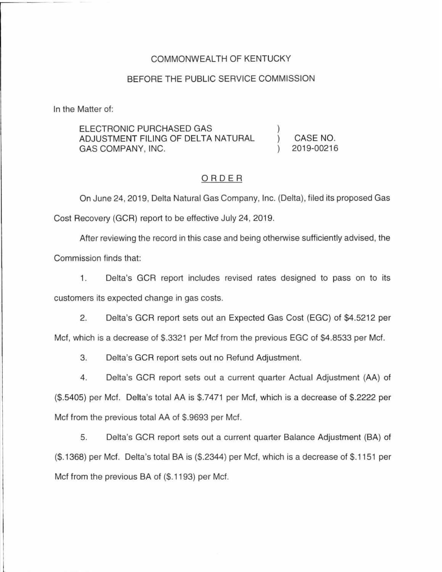## COMMONWEALTH OF KENTUCKY

#### BEFORE THE PUBLIC SERVICE COMMISSION

In the Matter of:

ELECTRONIC PURCHASED GAS ADJUSTMENT FILING OF DELTA NATURAL GAS COMPANY, INC.

) CASE NO. ) 2019-00216

)

### ORDER

On June 24, 2019, Delta Natural Gas Company, Inc. (Delta), filed its proposed Gas Cost Recovery (GCR) report to be effective July 24, 2019.

After reviewing the record in this case and being otherwise sufficiently advised, the

Commission finds that:

1. Delta's GCR report includes revised rates designed to pass on to its customers its expected change in gas costs.

2. Delta's GCR report sets out an Expected Gas Cost (EGC) of \$4.5212 per Met, which is a decrease of \$.3321 per Met from the previous EGC of \$4.8533 per Met.

3. Delta's GCR report sets out no Refund Adjustment.

4. Delta's GCR report sets out a current quarter Actual Adjustment (AA) of (\$.5405) per Met. Delta's total AA is \$.7471 per Met, which is a decrease of \$.2222 per Met from the previous total AA of \$.9693 per Met.

5. Delta's GCR report sets out a current quarter Balance Adjustment (BA) of (\$.1368) per Met. Delta's total BA is (\$.2344) per Met, which is a decrease of \$.1151 per Met from the previous BA of (\$. 1193) per Met.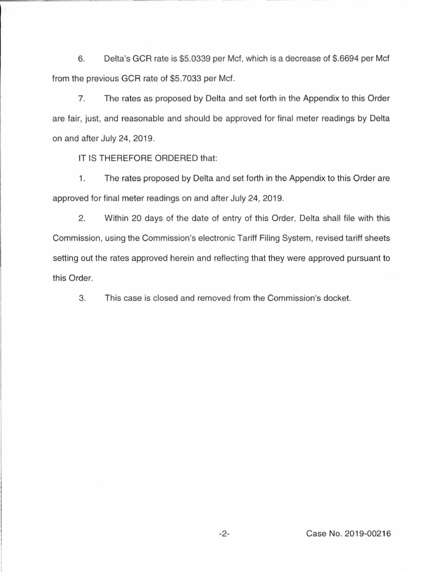6. Delta's GCR rate is \$5.0339 per Met, which is a decrease of \$.6694 per Met from the previous GCR rate of \$5.7033 per Met.

7. The rates as proposed by Delta and set forth in the Appendix to this Order are fair, just, and reasonable and should be approved for final meter readings by Delta on and after July 24, 2019.

IT IS THEREFORE ORDERED that:

1. The rates proposed by Delta and set forth in the Appendix to this Order are approved for final meter readings on and after July 24, 2019.

2. Within 20 days of the date of entry of this Order, Delta shall file with this Commission, using the Commission's electronic Tariff Filing System, revised tariff sheets setting out the rates approved herein and reflecting that they were approved pursuant to this Order.

3. This case is closed and removed from the Commission's docket.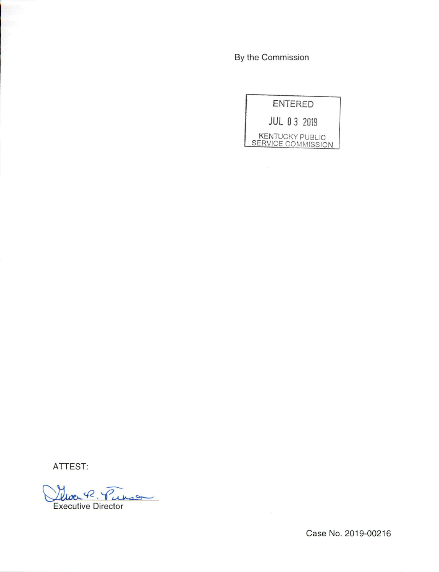By the Commission

| <b>ENTERED</b>                               |  |  |  |  |  |  |  |  |
|----------------------------------------------|--|--|--|--|--|--|--|--|
| <b>JUL 0 3 2019</b>                          |  |  |  |  |  |  |  |  |
| <b>KENTUCKY PUBLIC</b><br>SERVICE COMMISSION |  |  |  |  |  |  |  |  |

ATTEST:

George Purso Executive Director

Case No. 2019-00216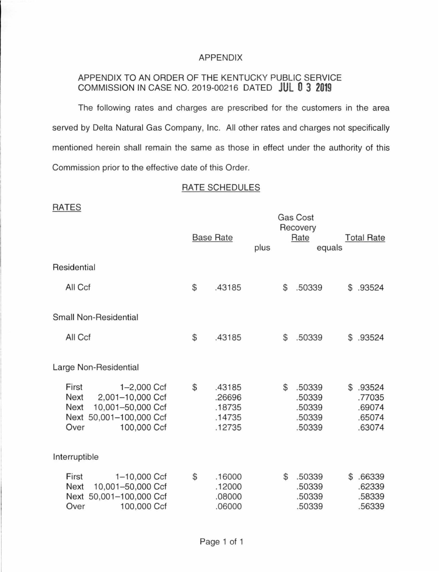## APPENDIX

# APPENDIX TO AN ORDER OF THE KENTUCKY PUBLIC SERVICE COMMISSION IN CASE NO. 2019-00216 DATED **JUL 0 3 2019**

The following rates and charges are prescribed for the customers in the area served by Delta Natural Gas Company, Inc. All other rates and charges not specifically mentioned herein shall remain the same as those in effect under the authority of this Commission prior to the effective date of this Order.

# RATE SCHEDULES

RATES

| <b>RAIL</b> O                                                                                                                   | <b>Base Rate</b> |                                                | plus | <b>Gas Cost</b><br>Recovery<br>Rate<br>equals        |    | <b>Total Rate</b>                              |
|---------------------------------------------------------------------------------------------------------------------------------|------------------|------------------------------------------------|------|------------------------------------------------------|----|------------------------------------------------|
| Residential                                                                                                                     |                  |                                                |      |                                                      |    |                                                |
| All Ccf                                                                                                                         | $$\mathbb{S}$$   | .43185                                         |      | \$<br>.50339                                         | \$ | .93524                                         |
| <b>Small Non-Residential</b>                                                                                                    |                  |                                                |      |                                                      |    |                                                |
| All Ccf                                                                                                                         | $\mathbb{S}$     | .43185                                         |      | \$<br>.50339                                         | S  | .93524                                         |
| Large Non-Residential                                                                                                           |                  |                                                |      |                                                      |    |                                                |
| First<br>1-2,000 Ccf<br>2,001-10,000 Ccf<br>Next<br>Next<br>10,001-50,000 Ccf<br>Next 50,001-100,000 Ccf<br>100,000 Ccf<br>Over | \$               | .43185<br>.26696<br>.18735<br>.14735<br>.12735 |      | \$<br>.50339<br>.50339<br>.50339<br>.50339<br>.50339 | \$ | .93524<br>.77035<br>.69074<br>.65074<br>.63074 |
| Interruptible                                                                                                                   |                  |                                                |      |                                                      |    |                                                |
| First<br>1-10,000 Ccf<br>10,001-50,000 Ccf<br>Next<br>Next 50,001-100,000 Ccf<br>100,000 Ccf<br>Over                            | $\mathcal{S}$    | .16000<br>.12000<br>.08000<br>.06000           |      | \$<br>.50339<br>.50339<br>.50339<br>.50339           | \$ | .66339<br>.62339<br>.58339<br>.56339           |